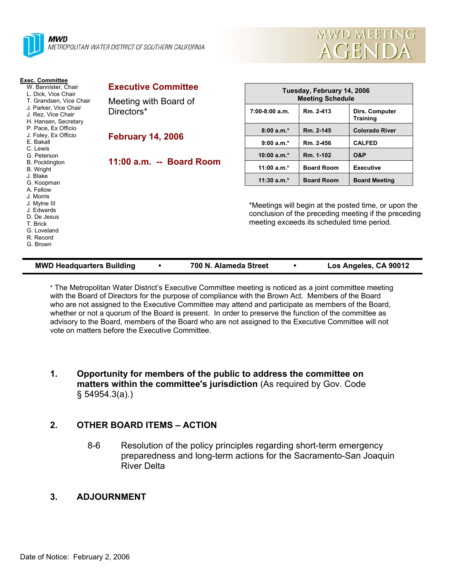



| <b>Exec. Committee</b><br>W. Bannister, Chair<br>L. Dick, Vice Chair<br>T. Grandsen, Vice Chair<br>J. Parker, Vice Chair<br>J. Rez. Vice Chair<br>H. Hansen, Secretary | <b>Executive Committee</b>          | Tuesday, February 14, 2006<br><b>Meeting Schedule</b> |                                                                                                                                                            |                                   |  |  |
|------------------------------------------------------------------------------------------------------------------------------------------------------------------------|-------------------------------------|-------------------------------------------------------|------------------------------------------------------------------------------------------------------------------------------------------------------------|-----------------------------------|--|--|
|                                                                                                                                                                        | Meeting with Board of<br>Directors* |                                                       |                                                                                                                                                            |                                   |  |  |
|                                                                                                                                                                        |                                     | 7:00-8:00 a.m.                                        | Rm. 2-413                                                                                                                                                  | Dirs. Computer<br><b>Training</b> |  |  |
| P. Pace, Ex Officio<br>J. Foley, Ex Officio                                                                                                                            | <b>February 14, 2006</b>            | $8:00a.m.*$                                           | Rm. 2-145                                                                                                                                                  | <b>Colorado River</b>             |  |  |
| E. Bakall<br>C. Lewis                                                                                                                                                  |                                     | $9:00 a.m.*$                                          | Rm. 2-456                                                                                                                                                  | <b>CALFED</b>                     |  |  |
| G. Peterson                                                                                                                                                            |                                     | $10:00 a.m.*$                                         | Rm. 1-102                                                                                                                                                  | <b>O&amp;P</b>                    |  |  |
| <b>B.</b> Pocklington<br>B. Wright                                                                                                                                     | 11:00 a.m. -- Board Room            | 11:00 $a.m.*$                                         | <b>Board Room</b>                                                                                                                                          | <b>Executive</b>                  |  |  |
| J. Blake<br>G. Koopman                                                                                                                                                 |                                     | $11:30 a.m.*$                                         | <b>Board Room</b>                                                                                                                                          | <b>Board Meeting</b>              |  |  |
| A. Fellow<br>J. Morris<br>J. Mylne III<br>J. Edwards<br>D. De Jesus<br>T. Brick<br>G. Loveland<br>R. Record<br>G. Brown                                                |                                     |                                                       | *Meetings will begin at the posted time, or upon the<br>conclusion of the preceding meeting if the preceding<br>meeting exceeds its scheduled time period. |                                   |  |  |

| <b>MWD Headquarters Building</b> |  | 700 N. Alameda Street |  | Los Angeles, CA 90012 |
|----------------------------------|--|-----------------------|--|-----------------------|
|----------------------------------|--|-----------------------|--|-----------------------|

\* The Metropolitan Water District's Executive Committee meeting is noticed as a joint committee meeting with the Board of Directors for the purpose of compliance with the Brown Act. Members of the Board who are not assigned to the Executive Committee may attend and participate as members of the Board, whether or not a quorum of the Board is present. In order to preserve the function of the committee as advisory to the Board, members of the Board who are not assigned to the Executive Committee will not vote on matters before the Executive Committee.

## **1. Opportunity for members of the public to address the committee on matters within the committee's jurisdiction** (As required by Gov. Code § 54954.3(a).)

## **2. OTHER BOARD ITEMS – ACTION**

8-6 Resolution of the policy principles regarding short-term emergency preparedness and long-term actions for the Sacramento-San Joaquin River Delta

## **3. ADJOURNMENT**